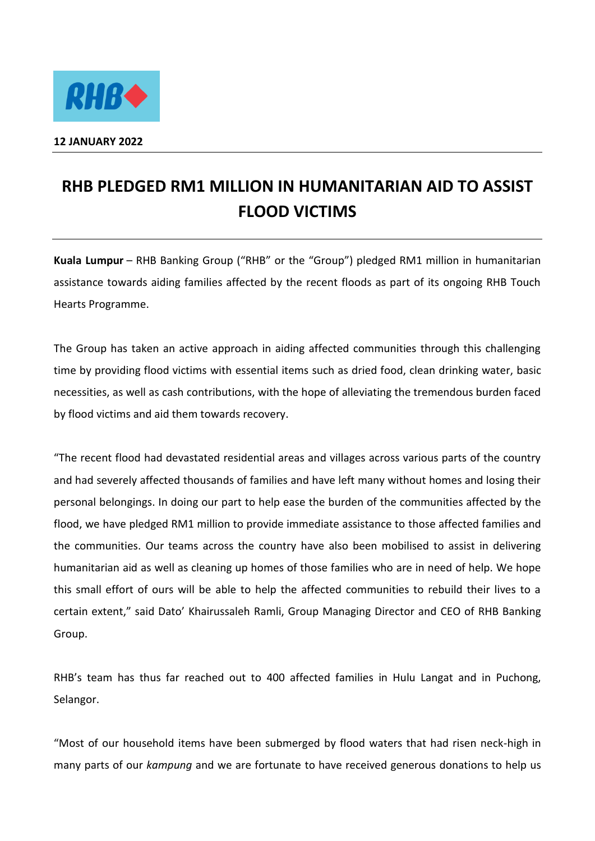

## **RHB PLEDGED RM1 MILLION IN HUMANITARIAN AID TO ASSIST FLOOD VICTIMS**

**Kuala Lumpur** – RHB Banking Group ("RHB" or the "Group") pledged RM1 million in humanitarian assistance towards aiding families affected by the recent floods as part of its ongoing RHB Touch Hearts Programme.

The Group has taken an active approach in aiding affected communities through this challenging time by providing flood victims with essential items such as dried food, clean drinking water, basic necessities, as well as cash contributions, with the hope of alleviating the tremendous burden faced by flood victims and aid them towards recovery.

"The recent flood had devastated residential areas and villages across various parts of the country and had severely affected thousands of families and have left many without homes and losing their personal belongings. In doing our part to help ease the burden of the communities affected by the flood, we have pledged RM1 million to provide immediate assistance to those affected families and the communities. Our teams across the country have also been mobilised to assist in delivering humanitarian aid as well as cleaning up homes of those families who are in need of help. We hope this small effort of ours will be able to help the affected communities to rebuild their lives to a certain extent," said Dato' Khairussaleh Ramli, Group Managing Director and CEO of RHB Banking Group.

RHB's team has thus far reached out to 400 affected families in Hulu Langat and in Puchong, Selangor.

"Most of our household items have been submerged by flood waters that had risen neck-high in many parts of our *kampung* and we are fortunate to have received generous donations to help us